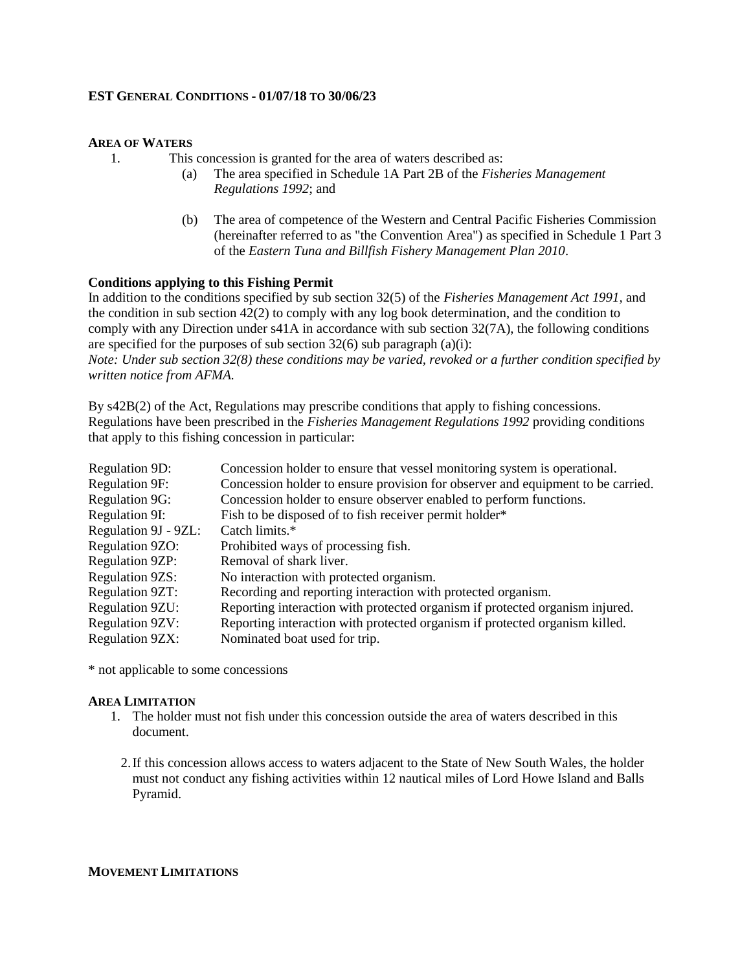## **EST GENERAL CONDITIONS - 01/07/18 TO 30/06/23**

# **AREA OF WATERS**

- 1. This concession is granted for the area of waters described as:
	- (a) The area specified in Schedule 1A Part 2B of the *Fisheries Management Regulations 1992*; and
	- (b) The area of competence of the Western and Central Pacific Fisheries Commission (hereinafter referred to as "the Convention Area") as specified in Schedule 1 Part 3 of the *Eastern Tuna and Billfish Fishery Management Plan 2010*.

# **Conditions applying to this Fishing Permit**

In addition to the conditions specified by sub section 32(5) of the *Fisheries Management Act 1991,* and the condition in sub section 42(2) to comply with any log book determination, and the condition to comply with any Direction under s41A in accordance with sub section 32(7A), the following conditions are specified for the purposes of sub section  $32(6)$  sub paragraph (a)(i): *Note: Under sub section 32(8) these conditions may be varied, revoked or a further condition specified by written notice from AFMA.*

By s42B(2) of the Act, Regulations may prescribe conditions that apply to fishing concessions. Regulations have been prescribed in the *Fisheries Management Regulations 1992* providing conditions that apply to this fishing concession in particular:

| Concession holder to ensure that vessel monitoring system is operational.       |
|---------------------------------------------------------------------------------|
| Concession holder to ensure provision for observer and equipment to be carried. |
| Concession holder to ensure observer enabled to perform functions.              |
| Fish to be disposed of to fish receiver permit holder*                          |
| Catch limits.*                                                                  |
| Prohibited ways of processing fish.                                             |
| Removal of shark liver.                                                         |
| No interaction with protected organism.                                         |
| Recording and reporting interaction with protected organism.                    |
| Reporting interaction with protected organism if protected organism injured.    |
| Reporting interaction with protected organism if protected organism killed.     |
| Nominated boat used for trip.                                                   |
|                                                                                 |

\* not applicable to some concessions

### **AREA LIMITATION**

- 1. The holder must not fish under this concession outside the area of waters described in this document.
	- 2.If this concession allows access to waters adjacent to the State of New South Wales, the holder must not conduct any fishing activities within 12 nautical miles of Lord Howe Island and Balls Pyramid.

## **MOVEMENT LIMITATIONS**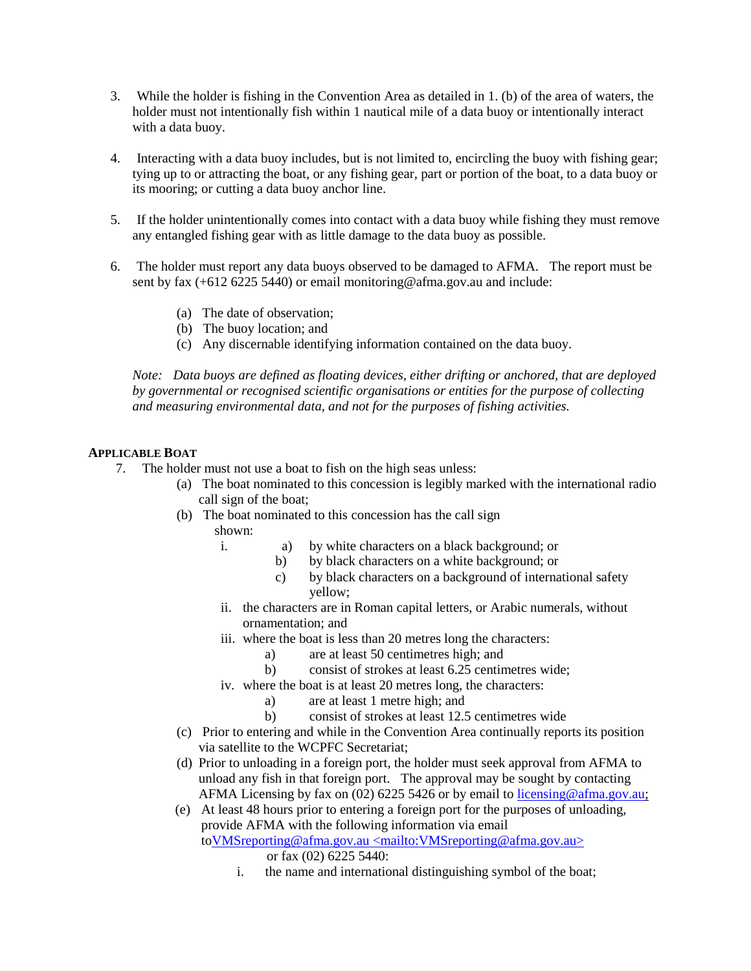- 3. While the holder is fishing in the Convention Area as detailed in 1. (b) of the area of waters, the holder must not intentionally fish within 1 nautical mile of a data buoy or intentionally interact with a data buoy.
- 4. Interacting with a data buoy includes, but is not limited to, encircling the buoy with fishing gear; tying up to or attracting the boat, or any fishing gear, part or portion of the boat, to a data buoy or its mooring; or cutting a data buoy anchor line.
- 5. If the holder unintentionally comes into contact with a data buoy while fishing they must remove any entangled fishing gear with as little damage to the data buoy as possible.
- 6. The holder must report any data buoys observed to be damaged to AFMA. The report must be sent by fax (+612 6225 5440) or email monitoring@afma.gov.au and include:
	- (a) The date of observation;
	- (b) The buoy location; and
	- (c) Any discernable identifying information contained on the data buoy.

*Note: Data buoys are defined as floating devices, either drifting or anchored, that are deployed by governmental or recognised scientific organisations or entities for the purpose of collecting and measuring environmental data, and not for the purposes of fishing activities.* 

### **APPLICABLE BOAT**

- 7. The holder must not use a boat to fish on the high seas unless:
	- (a) The boat nominated to this concession is legibly marked with the international radio call sign of the boat;
	- (b) The boat nominated to this concession has the call sign shown:
		- i. a) by white characters on a black background; or
			- b) by black characters on a white background; or
			- c) by black characters on a background of international safety yellow;
		- ii. the characters are in Roman capital letters, or Arabic numerals, without ornamentation; and
		- iii. where the boat is less than 20 metres long the characters:
			- a) are at least 50 centimetres high; and
			- b) consist of strokes at least 6.25 centimetres wide;
		- iv. where the boat is at least 20 metres long, the characters:
			- a) are at least 1 metre high; and
			- b) consist of strokes at least 12.5 centimetres wide
	- (c) Prior to entering and while in the Convention Area continually reports its position via satellite to the WCPFC Secretariat;
	- (d) Prior to unloading in a foreign port, the holder must seek approval from AFMA to unload any fish in that foreign port. The approval may be sought by contacting AFMA Licensing by fax on (02) 6225 5426 or by email to licensing@afma.gov.au;
	- (e) At least 48 hours prior to entering a foreign port for the purposes of unloading, provide AFMA with the following information via email toVMSreporting@afma.gov.au <mailto:VMSreporting@afma.gov.au> or fax (02) 6225 5440:
		- i. the name and international distinguishing symbol of the boat;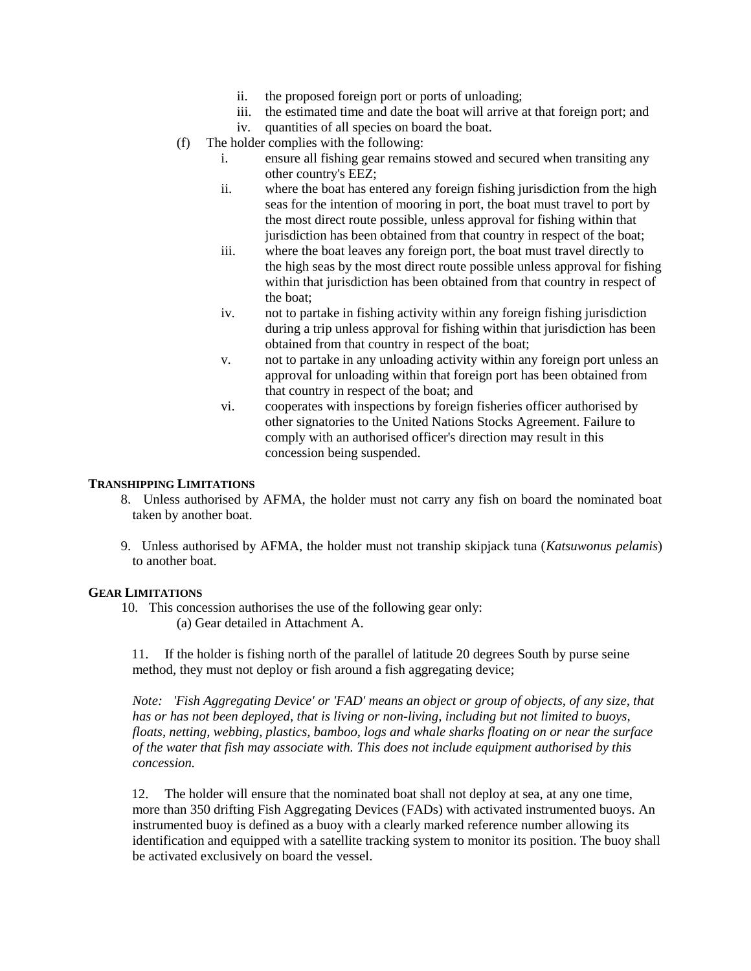- ii. the proposed foreign port or ports of unloading;
- iii. the estimated time and date the boat will arrive at that foreign port; and
- iv. quantities of all species on board the boat.
- (f) The holder complies with the following:
	- i. ensure all fishing gear remains stowed and secured when transiting any other country's EEZ;
	- ii. where the boat has entered any foreign fishing jurisdiction from the high seas for the intention of mooring in port, the boat must travel to port by the most direct route possible, unless approval for fishing within that jurisdiction has been obtained from that country in respect of the boat;
	- iii. where the boat leaves any foreign port, the boat must travel directly to the high seas by the most direct route possible unless approval for fishing within that jurisdiction has been obtained from that country in respect of the boat;
	- iv. not to partake in fishing activity within any foreign fishing jurisdiction during a trip unless approval for fishing within that jurisdiction has been obtained from that country in respect of the boat;
	- v. not to partake in any unloading activity within any foreign port unless an approval for unloading within that foreign port has been obtained from that country in respect of the boat; and
	- vi. cooperates with inspections by foreign fisheries officer authorised by other signatories to the United Nations Stocks Agreement. Failure to comply with an authorised officer's direction may result in this concession being suspended.

### **TRANSHIPPING LIMITATIONS**

- 8. Unless authorised by AFMA, the holder must not carry any fish on board the nominated boat taken by another boat.
- 9. Unless authorised by AFMA, the holder must not tranship skipjack tuna (*Katsuwonus pelamis*) to another boat.

### **GEAR LIMITATIONS**

 10. This concession authorises the use of the following gear only: (a) Gear detailed in Attachment A.

 11. If the holder is fishing north of the parallel of latitude 20 degrees South by purse seine method, they must not deploy or fish around a fish aggregating device;

*Note: 'Fish Aggregating Device' or 'FAD' means an object or group of objects, of any size, that has or has not been deployed, that is living or non-living, including but not limited to buoys, floats, netting, webbing, plastics, bamboo, logs and whale sharks floating on or near the surface of the water that fish may associate with. This does not include equipment authorised by this concession.*

 12. The holder will ensure that the nominated boat shall not deploy at sea, at any one time, more than 350 drifting Fish Aggregating Devices (FADs) with activated instrumented buoys. An instrumented buoy is defined as a buoy with a clearly marked reference number allowing its identification and equipped with a satellite tracking system to monitor its position. The buoy shall be activated exclusively on board the vessel.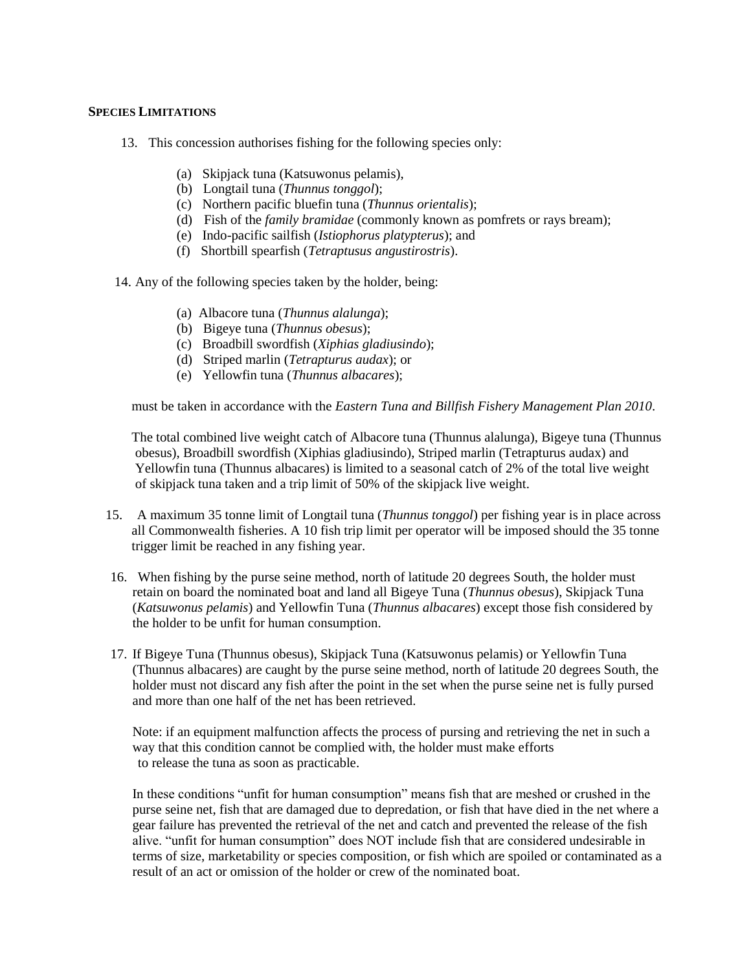# **SPECIES LIMITATIONS**

- 13. This concession authorises fishing for the following species only:
	- (a) Skipjack tuna (Katsuwonus pelamis),
	- (b) Longtail tuna (*Thunnus tonggol*);
	- (c) Northern pacific bluefin tuna (*Thunnus orientalis*);
	- (d)Fish of the *family bramidae* (commonly known as pomfrets or rays bream);
	- (e) Indo-pacific sailfish (*Istiophorus platypterus*); and
	- (f) Shortbill spearfish (*Tetraptusus angustirostris*).
- 14. Any of the following species taken by the holder, being:
	- (a) Albacore tuna (*Thunnus alalunga*);
	- (b) Bigeye tuna (*Thunnus obesus*);
	- (c) Broadbill swordfish (*Xiphias gladiusindo*);
	- (d) Striped marlin (*Tetrapturus audax*); or
	- (e) Yellowfin tuna (*Thunnus albacares*);

must be taken in accordance with the *Eastern Tuna and Billfish Fishery Management Plan 2010*.

The total combined live weight catch of Albacore tuna (Thunnus alalunga), Bigeye tuna (Thunnus obesus), Broadbill swordfish (Xiphias gladiusindo), Striped marlin (Tetrapturus audax) and Yellowfin tuna (Thunnus albacares) is limited to a seasonal catch of 2% of the total live weight of skipjack tuna taken and a trip limit of 50% of the skipjack live weight.

- 15. A maximum 35 tonne limit of Longtail tuna (*Thunnus tonggol*) per fishing year is in place across all Commonwealth fisheries. A 10 fish trip limit per operator will be imposed should the 35 tonne trigger limit be reached in any fishing year.
- 16. When fishing by the purse seine method, north of latitude 20 degrees South, the holder must retain on board the nominated boat and land all Bigeye Tuna (*Thunnus obesus*), Skipjack Tuna (*Katsuwonus pelamis*) and Yellowfin Tuna (*Thunnus albacares*) except those fish considered by the holder to be unfit for human consumption.
- 17. If Bigeye Tuna (Thunnus obesus), Skipjack Tuna (Katsuwonus pelamis) or Yellowfin Tuna (Thunnus albacares) are caught by the purse seine method, north of latitude 20 degrees South, the holder must not discard any fish after the point in the set when the purse seine net is fully pursed and more than one half of the net has been retrieved.

Note: if an equipment malfunction affects the process of pursing and retrieving the net in such a way that this condition cannot be complied with, the holder must make efforts to release the tuna as soon as practicable.

In these conditions "unfit for human consumption" means fish that are meshed or crushed in the purse seine net, fish that are damaged due to depredation, or fish that have died in the net where a gear failure has prevented the retrieval of the net and catch and prevented the release of the fish alive. "unfit for human consumption" does NOT include fish that are considered undesirable in terms of size, marketability or species composition, or fish which are spoiled or contaminated as a result of an act or omission of the holder or crew of the nominated boat.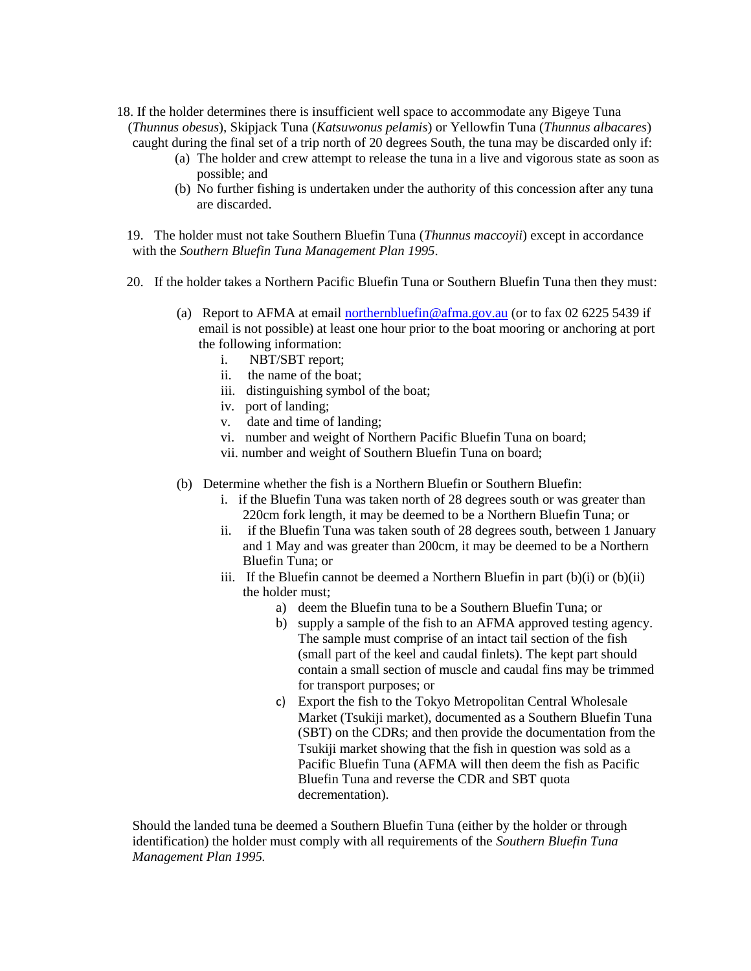- 18. If the holder determines there is insufficient well space to accommodate any Bigeye Tuna (*Thunnus obesus*), Skipjack Tuna (*Katsuwonus pelamis*) or Yellowfin Tuna (*Thunnus albacares*) caught during the final set of a trip north of 20 degrees South, the tuna may be discarded only if:
	- (a) The holder and crew attempt to release the tuna in a live and vigorous state as soon as possible; and
	- (b) No further fishing is undertaken under the authority of this concession after any tuna are discarded.

 19. The holder must not take Southern Bluefin Tuna (*Thunnus maccoyii*) except in accordance with the *Southern Bluefin Tuna Management Plan 1995*.

- 20. If the holder takes a Northern Pacific Bluefin Tuna or Southern Bluefin Tuna then they must:
	- (a) Report to AFMA at email northernbluefin@afma.gov.au (or to fax 02 6225 5439 if email is not possible) at least one hour prior to the boat mooring or anchoring at port the following information:
		- i. NBT/SBT report;
		- ii. the name of the boat;
		- iii. distinguishing symbol of the boat;
		- iv. port of landing;
		- v. date and time of landing;
		- vi. number and weight of Northern Pacific Bluefin Tuna on board;
		- vii. number and weight of Southern Bluefin Tuna on board;
	- (b) Determine whether the fish is a Northern Bluefin or Southern Bluefin:
		- i. if the Bluefin Tuna was taken north of 28 degrees south or was greater than 220cm fork length, it may be deemed to be a Northern Bluefin Tuna; or
		- ii. if the Bluefin Tuna was taken south of 28 degrees south, between 1 January and 1 May and was greater than 200cm, it may be deemed to be a Northern Bluefin Tuna; or
		- iii. If the Bluefin cannot be deemed a Northern Bluefin in part  $(b)(i)$  or  $(b)(ii)$ the holder must;
			- a) deem the Bluefin tuna to be a Southern Bluefin Tuna; or
			- b) supply a sample of the fish to an AFMA approved testing agency. The sample must comprise of an intact tail section of the fish (small part of the keel and caudal finlets). The kept part should contain a small section of muscle and caudal fins may be trimmed for transport purposes; or
			- c) Export the fish to the Tokyo Metropolitan Central Wholesale Market (Tsukiji market), documented as a Southern Bluefin Tuna (SBT) on the CDRs; and then provide the documentation from the Tsukiji market showing that the fish in question was sold as a Pacific Bluefin Tuna (AFMA will then deem the fish as Pacific Bluefin Tuna and reverse the CDR and SBT quota decrementation).

Should the landed tuna be deemed a Southern Bluefin Tuna (either by the holder or through identification) the holder must comply with all requirements of the *Southern Bluefin Tuna Management Plan 1995.*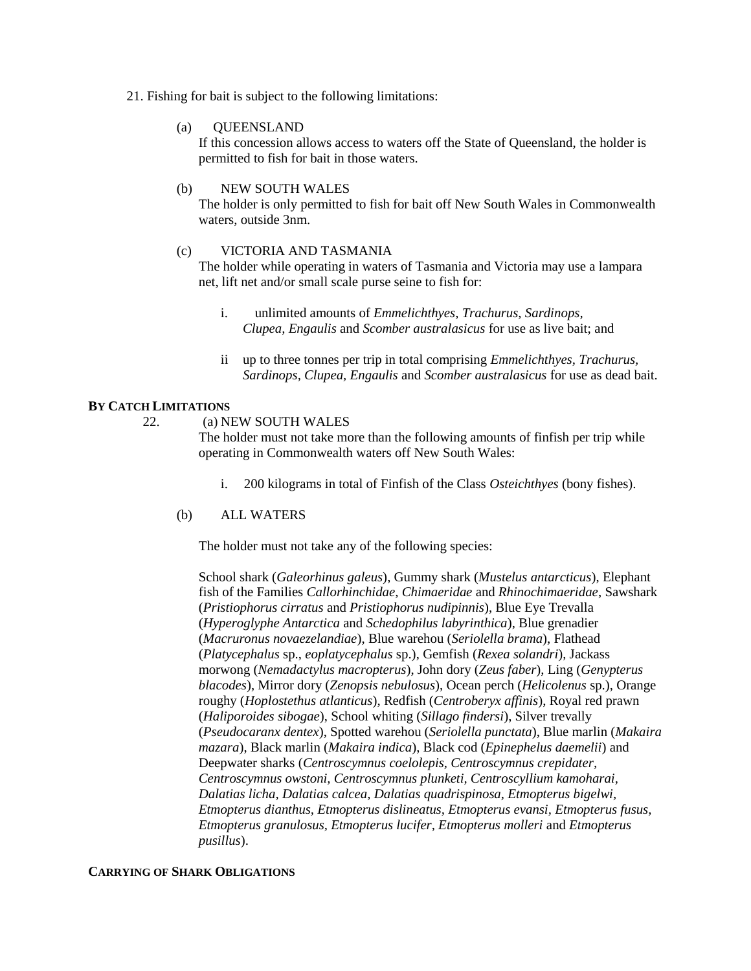### 21. Fishing for bait is subject to the following limitations:

## (a) QUEENSLAND

If this concession allows access to waters off the State of Queensland, the holder is permitted to fish for bait in those waters.

# (b) NEW SOUTH WALES

The holder is only permitted to fish for bait off New South Wales in Commonwealth waters, outside 3nm.

# (c) VICTORIA AND TASMANIA

The holder while operating in waters of Tasmania and Victoria may use a lampara net, lift net and/or small scale purse seine to fish for:

- i. unlimited amounts of *Emmelichthyes, Trachurus, Sardinops, Clupea, Engaulis* and *Scomber australasicus* for use as live bait; and
- ii up to three tonnes per trip in total comprising *Emmelichthyes, Trachurus, Sardinops, Clupea, Engaulis* and *Scomber australasicus* for use as dead bait.

# **BY CATCH LIMITATIONS**

22. (a) NEW SOUTH WALES

The holder must not take more than the following amounts of finfish per trip while operating in Commonwealth waters off New South Wales:

- i. 200 kilograms in total of Finfish of the Class *Osteichthyes* (bony fishes).
- (b) ALL WATERS

The holder must not take any of the following species:

School shark (*Galeorhinus galeus*), Gummy shark (*Mustelus antarcticus*), Elephant fish of the Families *Callorhinchidae, Chimaeridae* and *Rhinochimaeridae*, Sawshark (*Pristiophorus cirratus* and *Pristiophorus nudipinnis*), Blue Eye Trevalla (*Hyperoglyphe Antarctica* and *Schedophilus labyrinthica*), Blue grenadier (*Macruronus novaezelandiae*), Blue warehou (*Seriolella brama*), Flathead (*Platycephalus* sp., *eoplatycephalus* sp.), Gemfish (*Rexea solandri*), Jackass morwong (*Nemadactylus macropterus*), John dory (*Zeus faber*), Ling (*Genypterus blacodes*), Mirror dory (*Zenopsis nebulosus*), Ocean perch (*Helicolenus* sp.), Orange roughy (*Hoplostethus atlanticus*), Redfish (*Centroberyx affinis*), Royal red prawn (*Haliporoides sibogae*), School whiting (*Sillago findersi*), Silver trevally (*Pseudocaranx dentex*), Spotted warehou (*Seriolella punctata*), Blue marlin (*Makaira mazara*), Black marlin (*Makaira indica*), Black cod (*Epinephelus daemelii*) and Deepwater sharks (*Centroscymnus coelolepis, Centroscymnus crepidater, Centroscymnus owstoni, Centroscymnus plunketi, Centroscyllium kamoharai, Dalatias licha, Dalatias calcea, Dalatias quadrispinosa, Etmopterus bigelwi, Etmopterus dianthus, Etmopterus dislineatus, Etmopterus evansi, Etmopterus fusus, Etmopterus granulosus, Etmopterus lucifer, Etmopterus molleri* and *Etmopterus pusillus*).

#### **CARRYING OF SHARK OBLIGATIONS**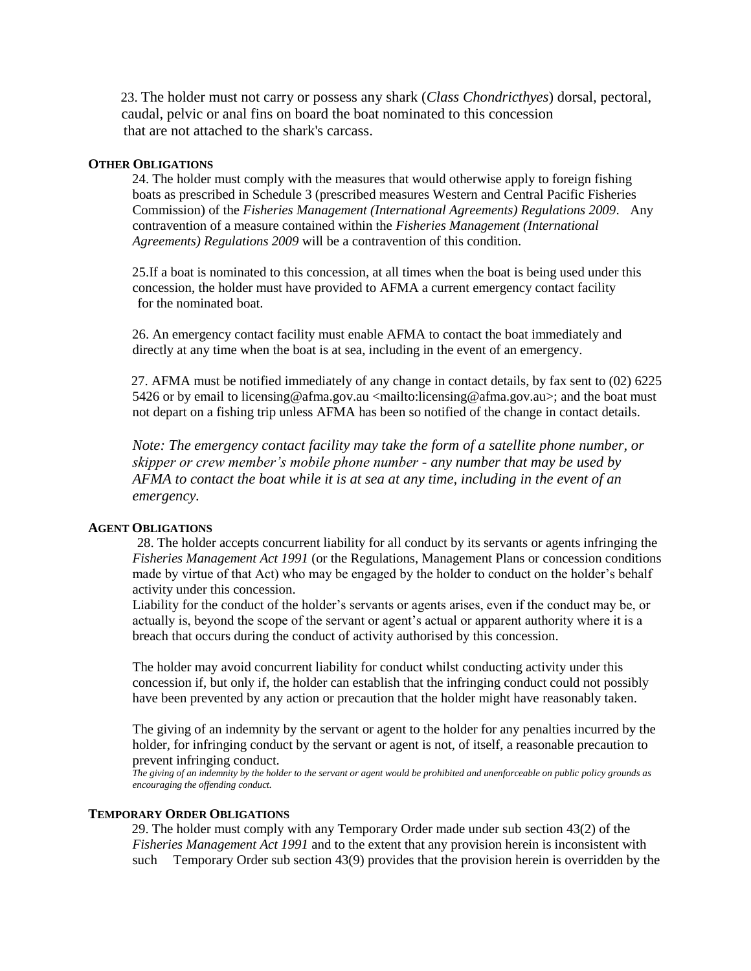23. The holder must not carry or possess any shark (*Class Chondricthyes*) dorsal, pectoral, caudal, pelvic or anal fins on board the boat nominated to this concession that are not attached to the shark's carcass.

### **OTHER OBLIGATIONS**

 24. The holder must comply with the measures that would otherwise apply to foreign fishing boats as prescribed in Schedule 3 (prescribed measures Western and Central Pacific Fisheries Commission) of the *Fisheries Management (International Agreements) Regulations 2009*. Any contravention of a measure contained within the *Fisheries Management (International Agreements) Regulations 2009* will be a contravention of this condition.

 25.If a boat is nominated to this concession, at all times when the boat is being used under this concession, the holder must have provided to AFMA a current emergency contact facility for the nominated boat.

 26. An emergency contact facility must enable AFMA to contact the boat immediately and directly at any time when the boat is at sea, including in the event of an emergency.

 27. AFMA must be notified immediately of any change in contact details, by fax sent to (02) 6225 5426 or by email to licensing@afma.gov.au <mailto:licensing@afma.gov.au>; and the boat must not depart on a fishing trip unless AFMA has been so notified of the change in contact details.

*Note: The emergency contact facility may take the form of a satellite phone number, or skipper or crew member's mobile phone number - any number that may be used by AFMA to contact the boat while it is at sea at any time, including in the event of an emergency.* 

#### **AGENT OBLIGATIONS**

 28. The holder accepts concurrent liability for all conduct by its servants or agents infringing the *Fisheries Management Act 1991* (or the Regulations, Management Plans or concession conditions made by virtue of that Act) who may be engaged by the holder to conduct on the holder's behalf activity under this concession.

Liability for the conduct of the holder's servants or agents arises, even if the conduct may be, or actually is, beyond the scope of the servant or agent's actual or apparent authority where it is a breach that occurs during the conduct of activity authorised by this concession.

The holder may avoid concurrent liability for conduct whilst conducting activity under this concession if, but only if, the holder can establish that the infringing conduct could not possibly have been prevented by any action or precaution that the holder might have reasonably taken.

The giving of an indemnity by the servant or agent to the holder for any penalties incurred by the holder, for infringing conduct by the servant or agent is not, of itself, a reasonable precaution to prevent infringing conduct.

*The giving of an indemnity by the holder to the servant or agent would be prohibited and unenforceable on public policy grounds as encouraging the offending conduct.*

### **TEMPORARY ORDER OBLIGATIONS**

 29. The holder must comply with any Temporary Order made under sub section 43(2) of the *Fisheries Management Act 1991* and to the extent that any provision herein is inconsistent with such Temporary Order sub section 43(9) provides that the provision herein is overridden by the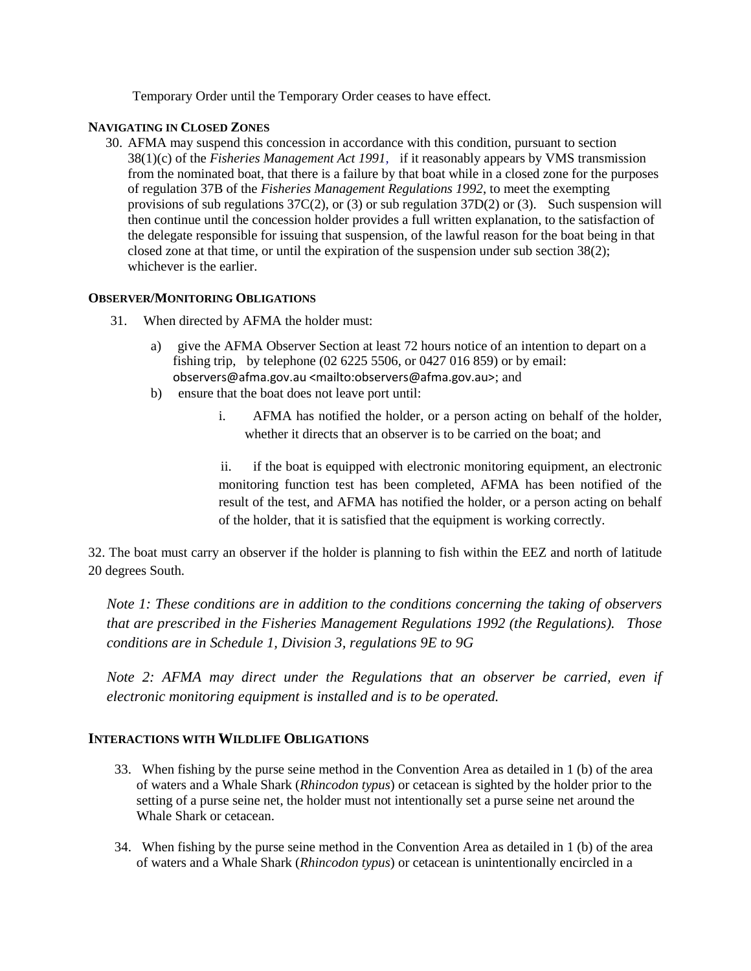Temporary Order until the Temporary Order ceases to have effect*.*

# **NAVIGATING IN CLOSED ZONES**

30. AFMA may suspend this concession in accordance with this condition, pursuant to section 38(1)(c) of the *Fisheries Management Act 1991,* if it reasonably appears by VMS transmission from the nominated boat, that there is a failure by that boat while in a closed zone for the purposes of regulation 37B of the *Fisheries Management Regulations 1992*, to meet the exempting provisions of sub regulations 37C(2), or (3) or sub regulation 37D(2) or (3)*.* Such suspension will then continue until the concession holder provides a full written explanation, to the satisfaction of the delegate responsible for issuing that suspension, of the lawful reason for the boat being in that closed zone at that time, or until the expiration of the suspension under sub section 38(2); whichever is the earlier.

# **OBSERVER/MONITORING OBLIGATIONS**

- 31. When directed by AFMA the holder must:
	- a) give the AFMA Observer Section at least 72 hours notice of an intention to depart on a fishing trip, by telephone (02 6225 5506, or 0427 016 859) or by email: observers@afma.gov.au <mailto:observers@afma.gov.au>; and
	- b) ensure that the boat does not leave port until:
		- i. AFMA has notified the holder, or a person acting on behalf of the holder, whether it directs that an observer is to be carried on the boat; and

ii. if the boat is equipped with electronic monitoring equipment, an electronic monitoring function test has been completed, AFMA has been notified of the result of the test, and AFMA has notified the holder, or a person acting on behalf of the holder, that it is satisfied that the equipment is working correctly.

32. The boat must carry an observer if the holder is planning to fish within the EEZ and north of latitude 20 degrees South.

*Note 1: These conditions are in addition to the conditions concerning the taking of observers that are prescribed in the Fisheries Management Regulations 1992 (the Regulations). Those conditions are in Schedule 1, Division 3, regulations 9E to 9G* 

*Note 2: AFMA may direct under the Regulations that an observer be carried, even if electronic monitoring equipment is installed and is to be operated.* 

# **INTERACTIONS WITH WILDLIFE OBLIGATIONS**

- 33. When fishing by the purse seine method in the Convention Area as detailed in 1 (b) of the area of waters and a Whale Shark (*Rhincodon typus*) or cetacean is sighted by the holder prior to the setting of a purse seine net, the holder must not intentionally set a purse seine net around the Whale Shark or cetacean.
- 34. When fishing by the purse seine method in the Convention Area as detailed in 1 (b) of the area of waters and a Whale Shark (*Rhincodon typus*) or cetacean is unintentionally encircled in a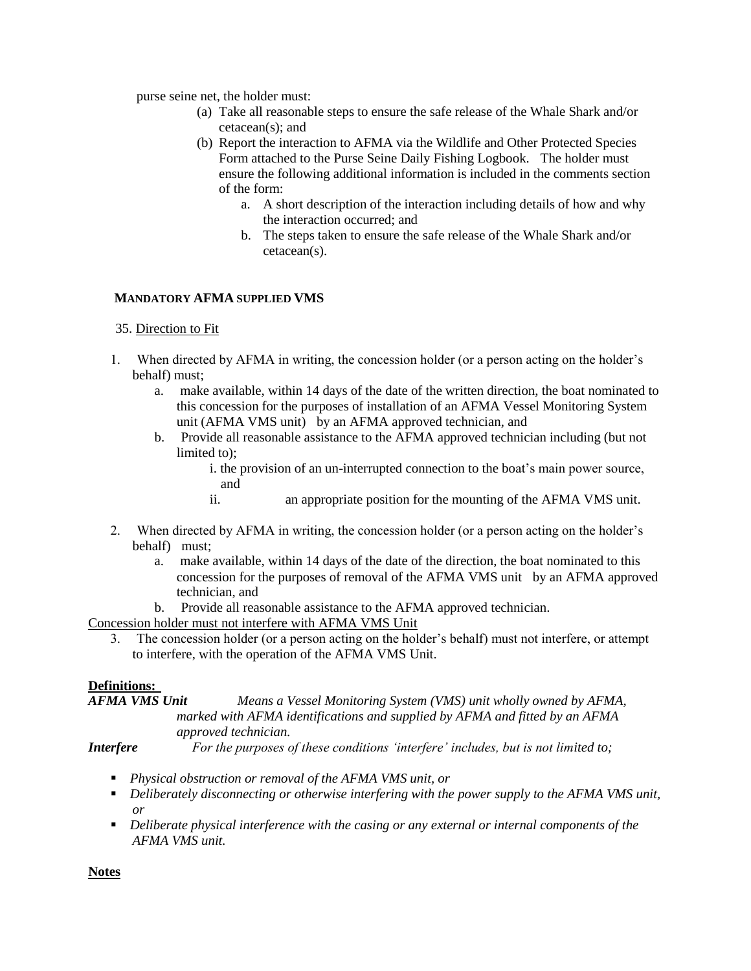purse seine net, the holder must:

- (a) Take all reasonable steps to ensure the safe release of the Whale Shark and/or cetacean(s); and
- (b) Report the interaction to AFMA via the Wildlife and Other Protected Species Form attached to the Purse Seine Daily Fishing Logbook. The holder must ensure the following additional information is included in the comments section of the form:
	- a. A short description of the interaction including details of how and why the interaction occurred; and
	- b. The steps taken to ensure the safe release of the Whale Shark and/or cetacean(s).

# **MANDATORY AFMA SUPPLIED VMS**

# 35. Direction to Fit

- 1. When directed by AFMA in writing, the concession holder (or a person acting on the holder's behalf) must;
	- a. make available, within 14 days of the date of the written direction, the boat nominated to this concession for the purposes of installation of an AFMA Vessel Monitoring System unit (AFMA VMS unit) by an AFMA approved technician, and
	- b. Provide all reasonable assistance to the AFMA approved technician including (but not limited to);
		- i. the provision of an un-interrupted connection to the boat's main power source, and
		- ii. an appropriate position for the mounting of the AFMA VMS unit.
- 2. When directed by AFMA in writing, the concession holder (or a person acting on the holder's behalf) must;
	- a. make available, within 14 days of the date of the direction, the boat nominated to this concession for the purposes of removal of the AFMA VMS unit by an AFMA approved technician, and
- b. Provide all reasonable assistance to the AFMA approved technician.

Concession holder must not interfere with AFMA VMS Unit

3. The concession holder (or a person acting on the holder's behalf) must not interfere, or attempt to interfere, with the operation of the AFMA VMS Unit.

# **Definitions:**

*AFMA VMS Unit Means a Vessel Monitoring System (VMS) unit wholly owned by AFMA, marked with AFMA identifications and supplied by AFMA and fitted by an AFMA approved technician.*

*Interfere For the purposes of these conditions 'interfere' includes, but is not limited to;*

- *Physical obstruction or removal of the AFMA VMS unit, or*
- **Phytherately disconnecting or otherwise interfering with the power supply to the AFMA VMS unit,** *or*
- *Deliberate physical interference with the casing or any external or internal components of the AFMA VMS unit.*

**Notes**